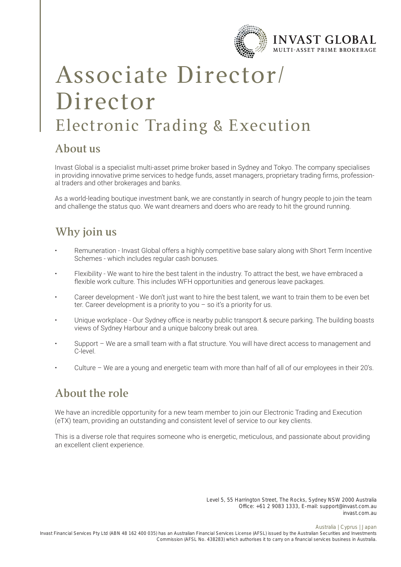

# Associate Director/ Director Electronic Trading & Execution

### **About us**

Invast Global is a specialist multi-asset prime broker based in Sydney and Tokyo. The company specialises in providing innovative prime services to hedge funds, asset managers, proprietary trading firms, professional traders and other brokerages and banks.

As a world-leading boutique investment bank, we are constantly in search of hungry people to join the team and challenge the status quo. We want dreamers and doers who are ready to hit the ground running.

### **Why join us**

- Remuneration Invast Global offers a highly competitive base salary along with Short Term Incentive Schemes - which includes regular cash bonuses.
- Flexibility We want to hire the best talent in the industry. To attract the best, we have embraced a flexible work culture. This includes WFH opportunities and generous leave packages.
- Career development We don't just want to hire the best talent, we want to train them to be even bet ter. Career development is a priority to you – so it's a priority for us.
- Unique workplace Our Sydney office is nearby public transport & secure parking. The building boasts views of Sydney Harbour and a unique balcony break out area.
- Support We are a small team with a flat structure. You will have direct access to management and C-level.
- Culture We are a young and energetic team with more than half of all of our employees in their 20's.

### **About the role**

We have an incredible opportunity for a new team member to join our Electronic Trading and Execution (eTX) team, providing an outstanding and consistent level of service to our key clients.

This is a diverse role that requires someone who is energetic, meticulous, and passionate about providing an excellent client experience.

> Level 5, 55 Harrington Street, The Rocks, Sydney NSW 2000 Australia Office: +61 2 9083 1333, E-mail: support@invast.com.au invast.com.au